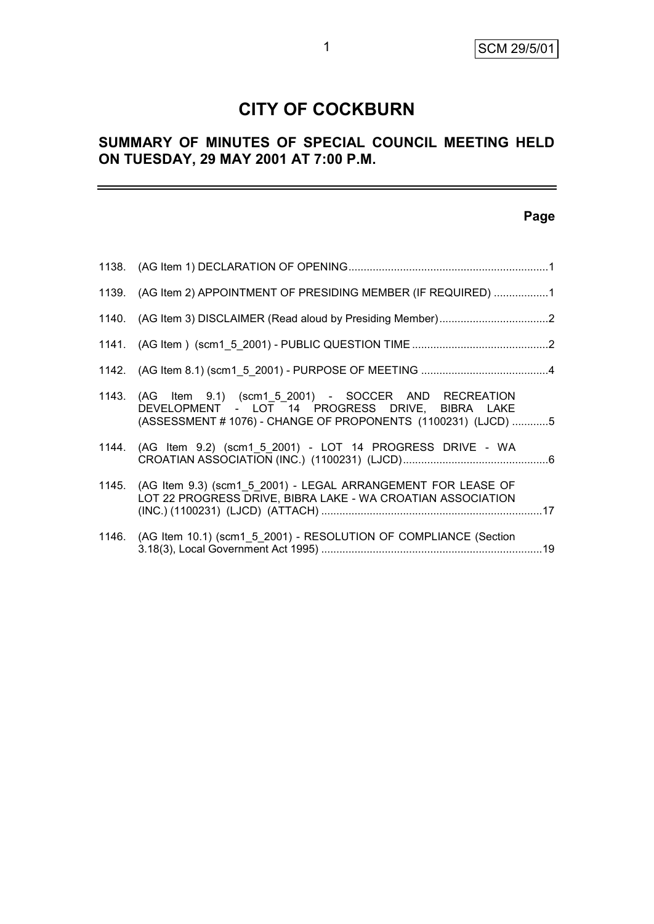# **CITY OF COCKBURN**

# **SUMMARY OF MINUTES OF SPECIAL COUNCIL MEETING HELD ON TUESDAY, 29 MAY 2001 AT 7:00 P.M.**

# **Page**

| 1139. (AG Item 2) APPOINTMENT OF PRESIDING MEMBER (IF REQUIRED) 1                                                                                                             |  |
|-------------------------------------------------------------------------------------------------------------------------------------------------------------------------------|--|
|                                                                                                                                                                               |  |
|                                                                                                                                                                               |  |
|                                                                                                                                                                               |  |
| 1143. (AG Item 9.1) (scm1 5 2001) - SOCCER AND RECREATION<br>DEVELOPMENT - LOT 14 PROGRESS DRIVE, BIBRA LAKE<br>(ASSESSMENT # 1076) - CHANGE OF PROPONENTS (1100231) (LJCD) 5 |  |
| 1144. (AG Item 9.2) (scm1 5 2001) - LOT 14 PROGRESS DRIVE - WA                                                                                                                |  |
| 1145. (AG Item 9.3) (scm1 5 2001) - LEGAL ARRANGEMENT FOR LEASE OF<br>LOT 22 PROGRESS DRIVE, BIBRA LAKE - WA CROATIAN ASSOCIATION                                             |  |
| 1146. (AG Item 10.1) (scm1 5 2001) - RESOLUTION OF COMPLIANCE (Section                                                                                                        |  |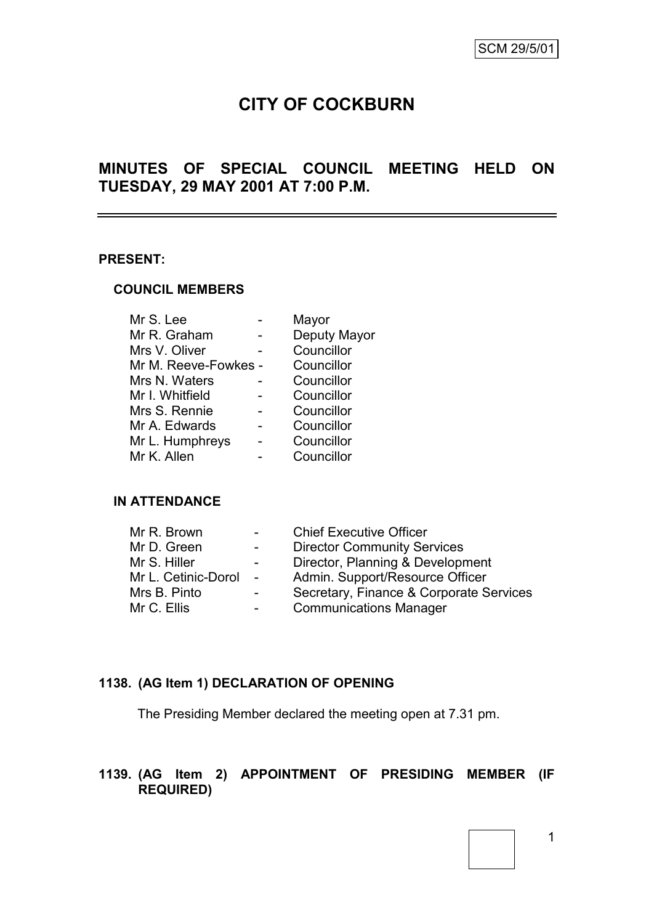Ξ,

# **CITY OF COCKBURN**

# **MINUTES OF SPECIAL COUNCIL MEETING HELD ON TUESDAY, 29 MAY 2001 AT 7:00 P.M.**

#### **PRESENT:**

#### **COUNCIL MEMBERS**

| Mr S. Lee            | Mayor        |
|----------------------|--------------|
| Mr R. Graham         | Deputy Mayor |
| Mrs V. Oliver        | Councillor   |
| Mr M. Reeve-Fowkes - | Councillor   |
| Mrs N. Waters        | Councillor   |
| Mr I. Whitfield      | Councillor   |
| Mrs S. Rennie        | Councillor   |
| Mr A. Edwards        | Councillor   |
| Mr L. Humphreys      | Councillor   |
| Mr K. Allen          | Councillor   |
|                      |              |

### **IN ATTENDANCE**

| Mr R. Brown         |                | <b>Chief Executive Officer</b>          |
|---------------------|----------------|-----------------------------------------|
| Mr D. Green         | $\blacksquare$ | <b>Director Community Services</b>      |
| Mr S. Hiller        | $\blacksquare$ | Director, Planning & Development        |
| Mr L. Cetinic-Dorol | $\sim$         | Admin. Support/Resource Officer         |
| Mrs B. Pinto        |                | Secretary, Finance & Corporate Services |
| Mr C. Ellis         |                | <b>Communications Manager</b>           |

# **1138. (AG Item 1) DECLARATION OF OPENING**

The Presiding Member declared the meeting open at 7.31 pm.

# **1139. (AG Item 2) APPOINTMENT OF PRESIDING MEMBER (IF REQUIRED)**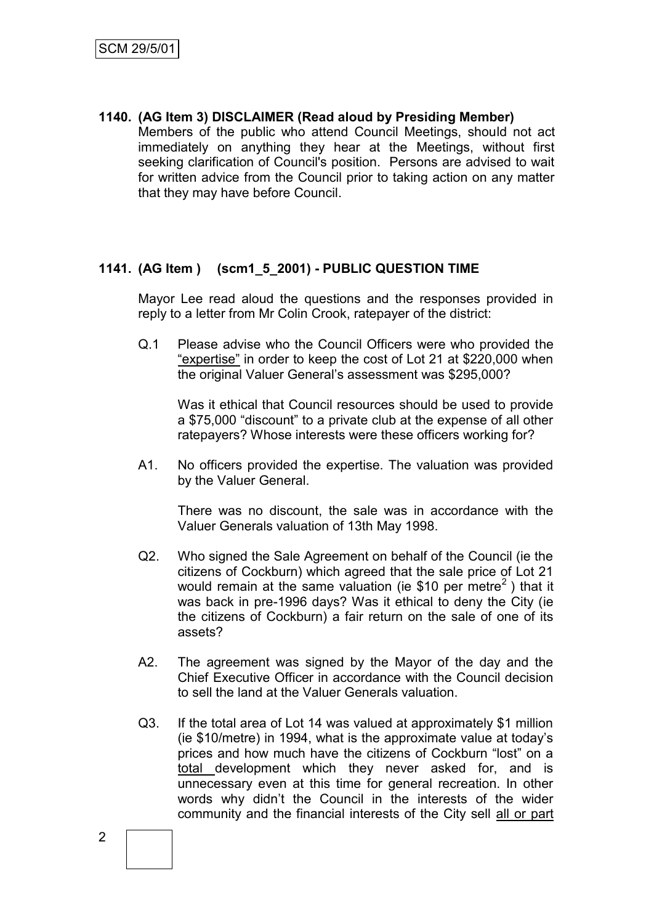**1140. (AG Item 3) DISCLAIMER (Read aloud by Presiding Member)**

Members of the public who attend Council Meetings, should not act immediately on anything they hear at the Meetings, without first seeking clarification of Council's position. Persons are advised to wait for written advice from the Council prior to taking action on any matter that they may have before Council.

## **1141. (AG Item ) (scm1\_5\_2001) - PUBLIC QUESTION TIME**

Mayor Lee read aloud the questions and the responses provided in reply to a letter from Mr Colin Crook, ratepayer of the district:

Q.1 Please advise who the Council Officers were who provided the "expertise" in order to keep the cost of Lot 21 at \$220,000 when the original Valuer General's assessment was \$295,000?

Was it ethical that Council resources should be used to provide a \$75,000 "discount" to a private club at the expense of all other ratepayers? Whose interests were these officers working for?

A1. No officers provided the expertise. The valuation was provided by the Valuer General.

There was no discount, the sale was in accordance with the Valuer Generals valuation of 13th May 1998.

- Q2. Who signed the Sale Agreement on behalf of the Council (ie the citizens of Cockburn) which agreed that the sale price of Lot 21 would remain at the same valuation (ie \$10 per metre<sup>2</sup>) that it was back in pre-1996 days? Was it ethical to deny the City (ie the citizens of Cockburn) a fair return on the sale of one of its assets?
- A2. The agreement was signed by the Mayor of the day and the Chief Executive Officer in accordance with the Council decision to sell the land at the Valuer Generals valuation.
- Q3. If the total area of Lot 14 was valued at approximately \$1 million (ie \$10/metre) in 1994, what is the approximate value at today's prices and how much have the citizens of Cockburn "lost" on a total development which they never asked for, and is unnecessary even at this time for general recreation. In other words why didn't the Council in the interests of the wider community and the financial interests of the City sell all or part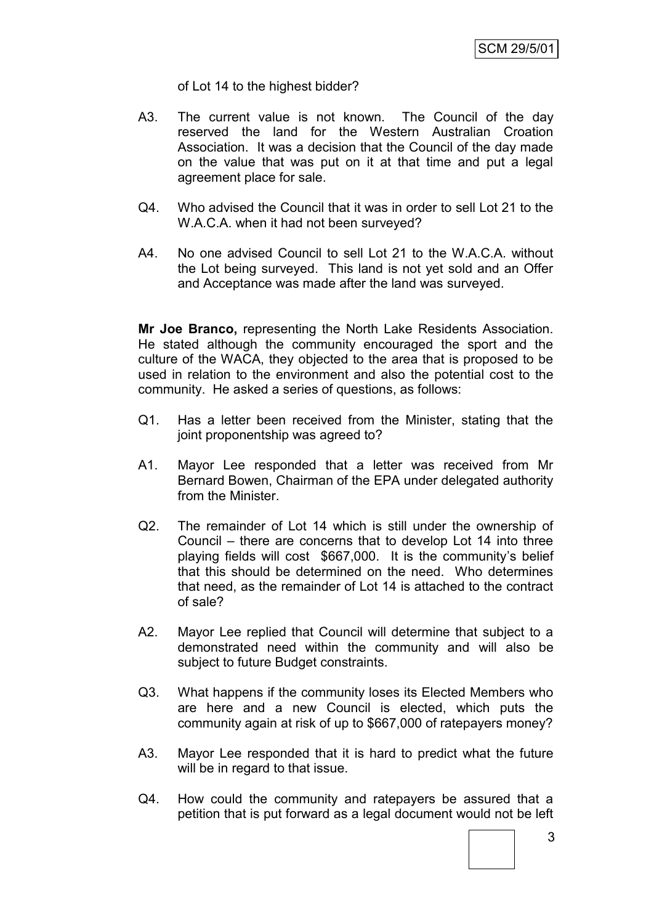of Lot 14 to the highest bidder?

- A3. The current value is not known. The Council of the day reserved the land for the Western Australian Croation Association. It was a decision that the Council of the day made on the value that was put on it at that time and put a legal agreement place for sale.
- Q4. Who advised the Council that it was in order to sell Lot 21 to the W.A.C.A. when it had not been surveyed?
- A4. No one advised Council to sell Lot 21 to the W.A.C.A. without the Lot being surveyed. This land is not yet sold and an Offer and Acceptance was made after the land was surveyed.

**Mr Joe Branco,** representing the North Lake Residents Association. He stated although the community encouraged the sport and the culture of the WACA, they objected to the area that is proposed to be used in relation to the environment and also the potential cost to the community. He asked a series of questions, as follows:

- Q1. Has a letter been received from the Minister, stating that the joint proponentship was agreed to?
- A1. Mayor Lee responded that a letter was received from Mr Bernard Bowen, Chairman of the EPA under delegated authority from the Minister.
- Q2. The remainder of Lot 14 which is still under the ownership of Council – there are concerns that to develop Lot 14 into three playing fields will cost \$667,000. It is the community's belief that this should be determined on the need. Who determines that need, as the remainder of Lot 14 is attached to the contract of sale?
- A2. Mayor Lee replied that Council will determine that subject to a demonstrated need within the community and will also be subject to future Budget constraints.
- Q3. What happens if the community loses its Elected Members who are here and a new Council is elected, which puts the community again at risk of up to \$667,000 of ratepayers money?
- A3. Mayor Lee responded that it is hard to predict what the future will be in regard to that issue.
- Q4. How could the community and ratepayers be assured that a petition that is put forward as a legal document would not be left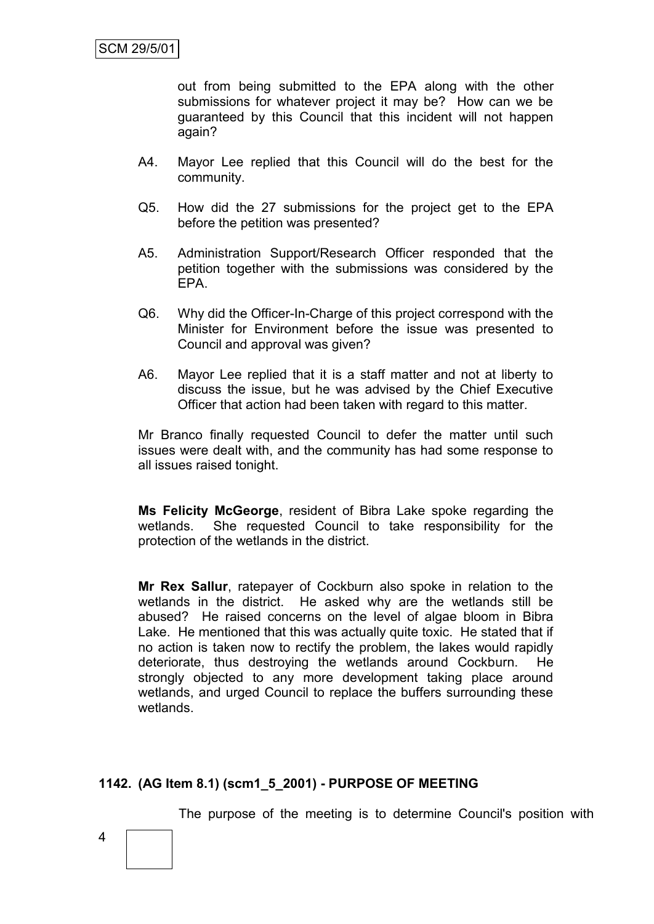out from being submitted to the EPA along with the other submissions for whatever project it may be? How can we be guaranteed by this Council that this incident will not happen again?

- A4. Mayor Lee replied that this Council will do the best for the community.
- Q5. How did the 27 submissions for the project get to the EPA before the petition was presented?
- A5. Administration Support/Research Officer responded that the petition together with the submissions was considered by the EPA.
- Q6. Why did the Officer-In-Charge of this project correspond with the Minister for Environment before the issue was presented to Council and approval was given?
- A6. Mayor Lee replied that it is a staff matter and not at liberty to discuss the issue, but he was advised by the Chief Executive Officer that action had been taken with regard to this matter.

Mr Branco finally requested Council to defer the matter until such issues were dealt with, and the community has had some response to all issues raised tonight.

**Ms Felicity McGeorge**, resident of Bibra Lake spoke regarding the wetlands. She requested Council to take responsibility for the protection of the wetlands in the district.

**Mr Rex Sallur**, ratepayer of Cockburn also spoke in relation to the wetlands in the district. He asked why are the wetlands still be abused? He raised concerns on the level of algae bloom in Bibra Lake. He mentioned that this was actually quite toxic. He stated that if no action is taken now to rectify the problem, the lakes would rapidly deteriorate, thus destroying the wetlands around Cockburn. He strongly objected to any more development taking place around wetlands, and urged Council to replace the buffers surrounding these wetlands.

# **1142. (AG Item 8.1) (scm1\_5\_2001) - PURPOSE OF MEETING**

The purpose of the meeting is to determine Council's position with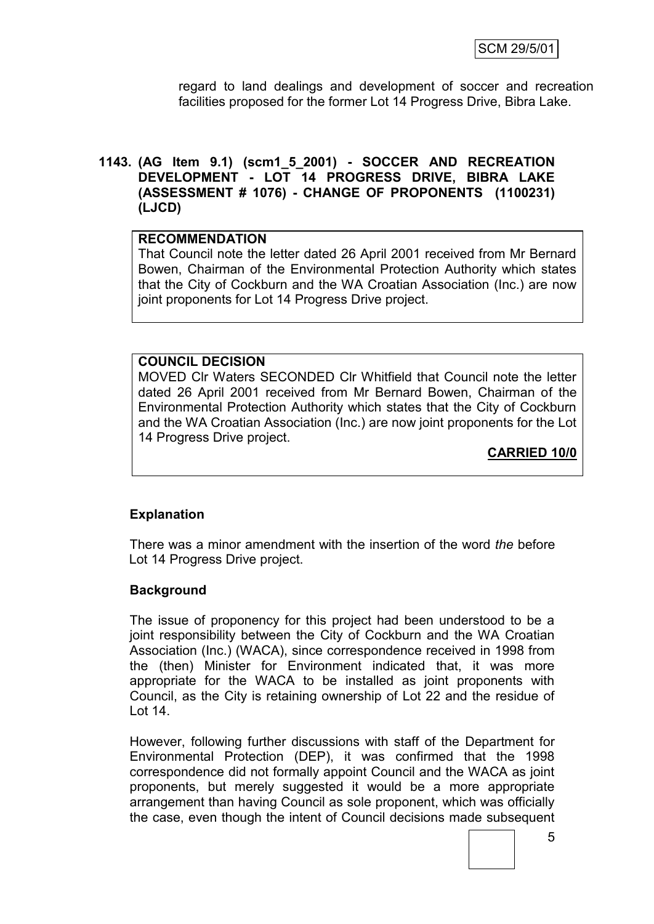regard to land dealings and development of soccer and recreation facilities proposed for the former Lot 14 Progress Drive, Bibra Lake.

### **1143. (AG Item 9.1) (scm1\_5\_2001) - SOCCER AND RECREATION DEVELOPMENT - LOT 14 PROGRESS DRIVE, BIBRA LAKE (ASSESSMENT # 1076) - CHANGE OF PROPONENTS (1100231) (LJCD)**

#### **RECOMMENDATION**

That Council note the letter dated 26 April 2001 received from Mr Bernard Bowen, Chairman of the Environmental Protection Authority which states that the City of Cockburn and the WA Croatian Association (Inc.) are now joint proponents for Lot 14 Progress Drive project.

### **COUNCIL DECISION**

MOVED Clr Waters SECONDED Clr Whitfield that Council note the letter dated 26 April 2001 received from Mr Bernard Bowen, Chairman of the Environmental Protection Authority which states that the City of Cockburn and the WA Croatian Association (Inc.) are now joint proponents for the Lot 14 Progress Drive project.

**CARRIED 10/0**

### **Explanation**

There was a minor amendment with the insertion of the word *the* before Lot 14 Progress Drive project.

### **Background**

The issue of proponency for this project had been understood to be a joint responsibility between the City of Cockburn and the WA Croatian Association (Inc.) (WACA), since correspondence received in 1998 from the (then) Minister for Environment indicated that, it was more appropriate for the WACA to be installed as joint proponents with Council, as the City is retaining ownership of Lot 22 and the residue of Lot 14.

However, following further discussions with staff of the Department for Environmental Protection (DEP), it was confirmed that the 1998 correspondence did not formally appoint Council and the WACA as joint proponents, but merely suggested it would be a more appropriate arrangement than having Council as sole proponent, which was officially the case, even though the intent of Council decisions made subsequent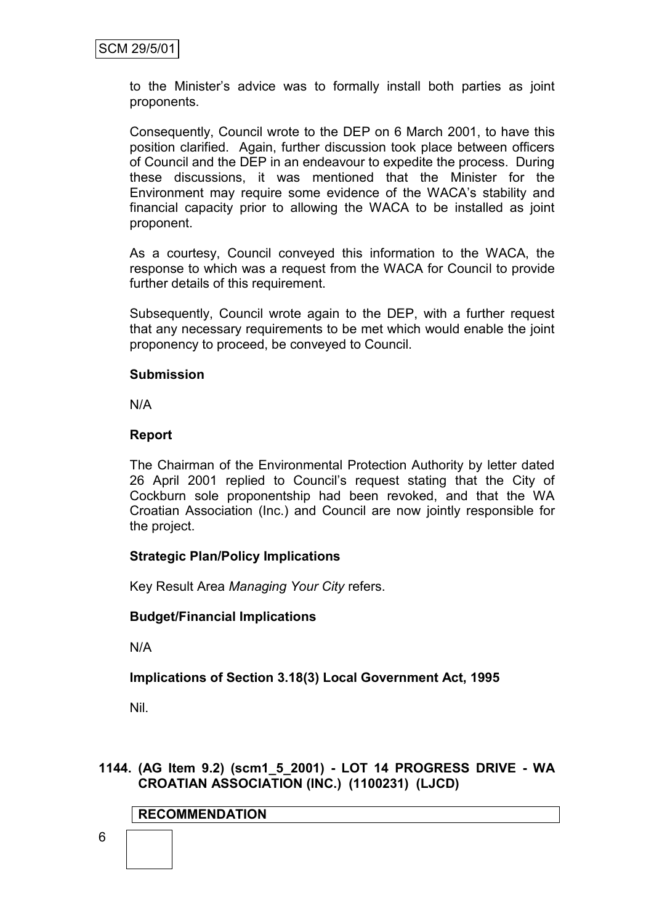to the Minister's advice was to formally install both parties as joint proponents.

Consequently, Council wrote to the DEP on 6 March 2001, to have this position clarified. Again, further discussion took place between officers of Council and the DEP in an endeavour to expedite the process. During these discussions, it was mentioned that the Minister for the Environment may require some evidence of the WACA's stability and financial capacity prior to allowing the WACA to be installed as joint proponent.

As a courtesy, Council conveyed this information to the WACA, the response to which was a request from the WACA for Council to provide further details of this requirement.

Subsequently, Council wrote again to the DEP, with a further request that any necessary requirements to be met which would enable the joint proponency to proceed, be conveyed to Council.

### **Submission**

N/A

### **Report**

The Chairman of the Environmental Protection Authority by letter dated 26 April 2001 replied to Council's request stating that the City of Cockburn sole proponentship had been revoked, and that the WA Croatian Association (Inc.) and Council are now jointly responsible for the project.

### **Strategic Plan/Policy Implications**

Key Result Area *Managing Your City* refers.

### **Budget/Financial Implications**

N/A

# **Implications of Section 3.18(3) Local Government Act, 1995**

Nil.

# **1144. (AG Item 9.2) (scm1\_5\_2001) - LOT 14 PROGRESS DRIVE - WA CROATIAN ASSOCIATION (INC.) (1100231) (LJCD)**

### **RECOMMENDATION**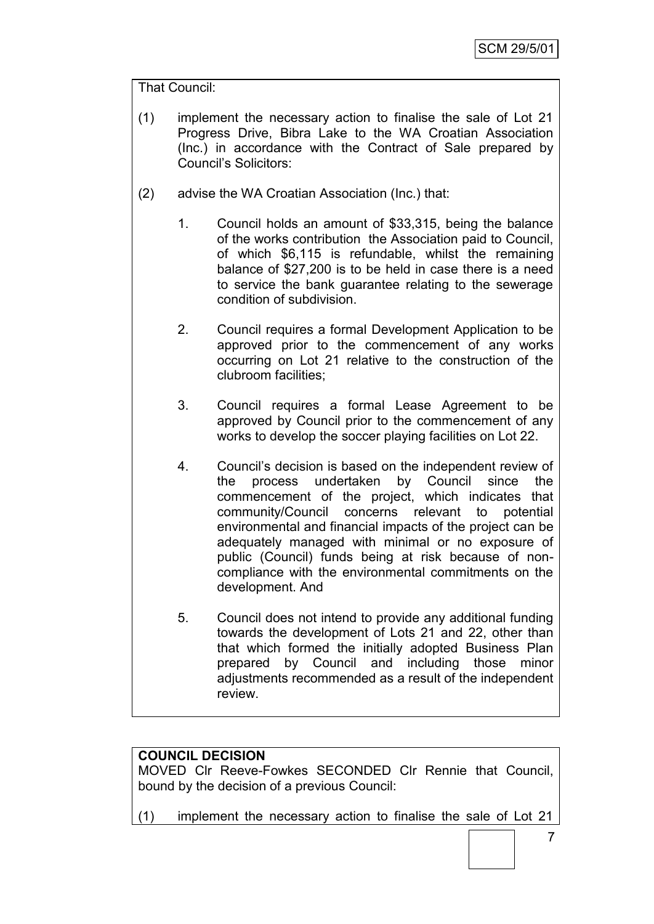# That Council:

- (1) implement the necessary action to finalise the sale of Lot 21 Progress Drive, Bibra Lake to the WA Croatian Association (Inc.) in accordance with the Contract of Sale prepared by Council's Solicitors:
- (2) advise the WA Croatian Association (Inc.) that:
	- 1. Council holds an amount of \$33,315, being the balance of the works contribution the Association paid to Council, of which \$6,115 is refundable, whilst the remaining balance of \$27,200 is to be held in case there is a need to service the bank guarantee relating to the sewerage condition of subdivision.
	- 2. Council requires a formal Development Application to be approved prior to the commencement of any works occurring on Lot 21 relative to the construction of the clubroom facilities;
	- 3. Council requires a formal Lease Agreement to be approved by Council prior to the commencement of any works to develop the soccer playing facilities on Lot 22.
	- 4. Council's decision is based on the independent review of the process undertaken by Council since the commencement of the project, which indicates that community/Council concerns relevant to potential environmental and financial impacts of the project can be adequately managed with minimal or no exposure of public (Council) funds being at risk because of noncompliance with the environmental commitments on the development. And
	- 5. Council does not intend to provide any additional funding towards the development of Lots 21 and 22, other than that which formed the initially adopted Business Plan prepared by Council and including those minor adjustments recommended as a result of the independent review.

# **COUNCIL DECISION**

MOVED Clr Reeve-Fowkes SECONDED Clr Rennie that Council, bound by the decision of a previous Council:

(1) implement the necessary action to finalise the sale of Lot 21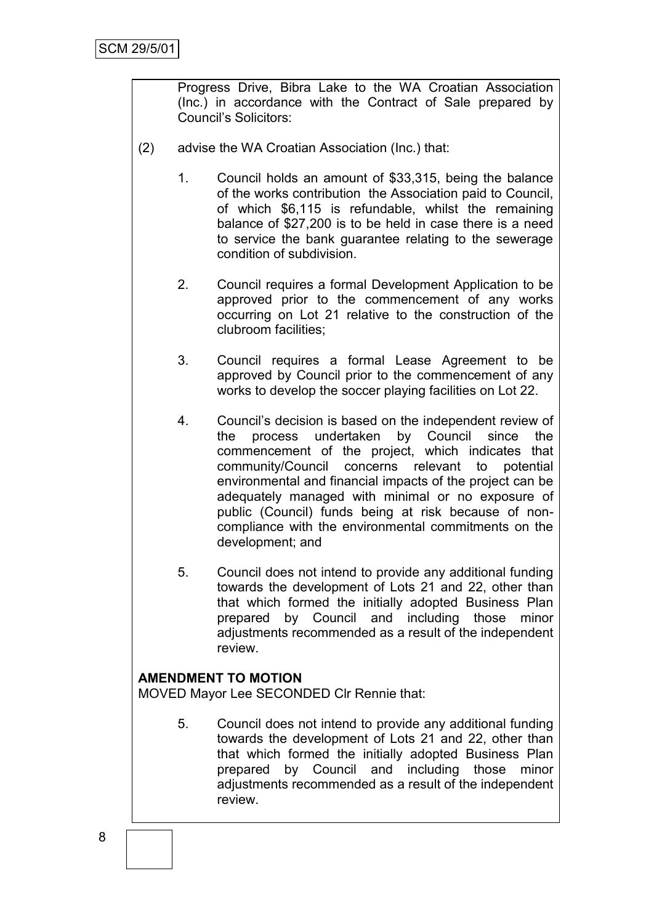Progress Drive, Bibra Lake to the WA Croatian Association (Inc.) in accordance with the Contract of Sale prepared by Council's Solicitors:

- (2) advise the WA Croatian Association (Inc.) that:
	- 1. Council holds an amount of \$33,315, being the balance of the works contribution the Association paid to Council, of which \$6,115 is refundable, whilst the remaining balance of \$27,200 is to be held in case there is a need to service the bank guarantee relating to the sewerage condition of subdivision.
	- 2. Council requires a formal Development Application to be approved prior to the commencement of any works occurring on Lot 21 relative to the construction of the clubroom facilities;
	- 3. Council requires a formal Lease Agreement to be approved by Council prior to the commencement of any works to develop the soccer playing facilities on Lot 22.
	- 4. Council's decision is based on the independent review of the process undertaken by Council since the commencement of the project, which indicates that community/Council concerns relevant to potential environmental and financial impacts of the project can be adequately managed with minimal or no exposure of public (Council) funds being at risk because of noncompliance with the environmental commitments on the development; and
	- 5. Council does not intend to provide any additional funding towards the development of Lots 21 and 22, other than that which formed the initially adopted Business Plan prepared by Council and including those minor adjustments recommended as a result of the independent review.

#### **AMENDMENT TO MOTION**

MOVED Mayor Lee SECONDED Clr Rennie that:

5. Council does not intend to provide any additional funding towards the development of Lots 21 and 22, other than that which formed the initially adopted Business Plan prepared by Council and including those minor adjustments recommended as a result of the independent review.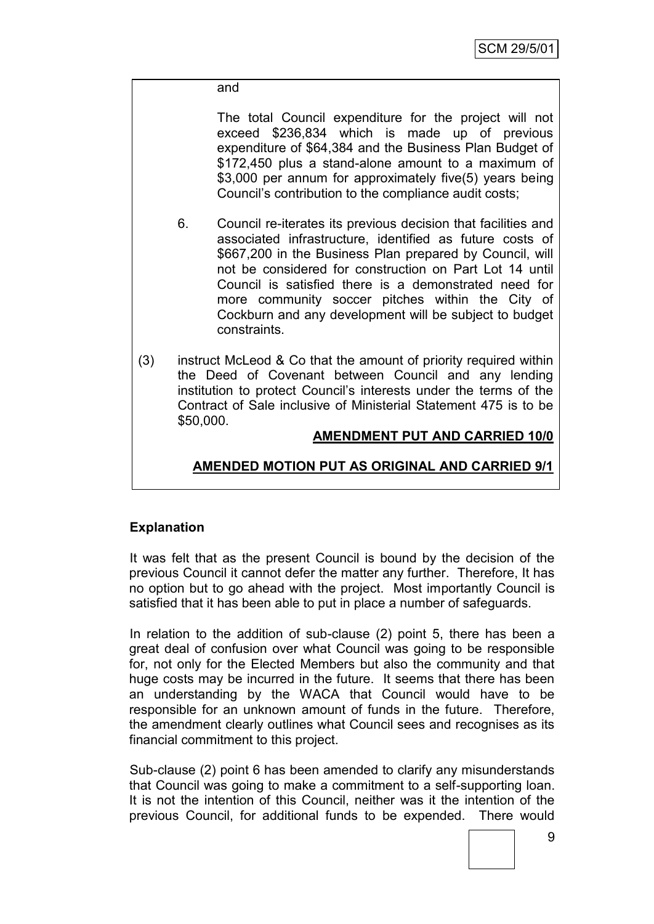#### and

The total Council expenditure for the project will not exceed \$236,834 which is made up of previous expenditure of \$64,384 and the Business Plan Budget of \$172,450 plus a stand-alone amount to a maximum of \$3,000 per annum for approximately five(5) years being Council's contribution to the compliance audit costs;

- 6. Council re-iterates its previous decision that facilities and associated infrastructure, identified as future costs of \$667,200 in the Business Plan prepared by Council, will not be considered for construction on Part Lot 14 until Council is satisfied there is a demonstrated need for more community soccer pitches within the City of Cockburn and any development will be subject to budget constraints.
- (3) instruct McLeod & Co that the amount of priority required within the Deed of Covenant between Council and any lending institution to protect Council's interests under the terms of the Contract of Sale inclusive of Ministerial Statement 475 is to be \$50,000.

### **AMENDMENT PUT AND CARRIED 10/0**

# **AMENDED MOTION PUT AS ORIGINAL AND CARRIED 9/1**

### **Explanation**

It was felt that as the present Council is bound by the decision of the previous Council it cannot defer the matter any further. Therefore, It has no option but to go ahead with the project. Most importantly Council is satisfied that it has been able to put in place a number of safeguards.

In relation to the addition of sub-clause (2) point 5, there has been a great deal of confusion over what Council was going to be responsible for, not only for the Elected Members but also the community and that huge costs may be incurred in the future. It seems that there has been an understanding by the WACA that Council would have to be responsible for an unknown amount of funds in the future. Therefore, the amendment clearly outlines what Council sees and recognises as its financial commitment to this project.

Sub-clause (2) point 6 has been amended to clarify any misunderstands that Council was going to make a commitment to a self-supporting loan. It is not the intention of this Council, neither was it the intention of the previous Council, for additional funds to be expended. There would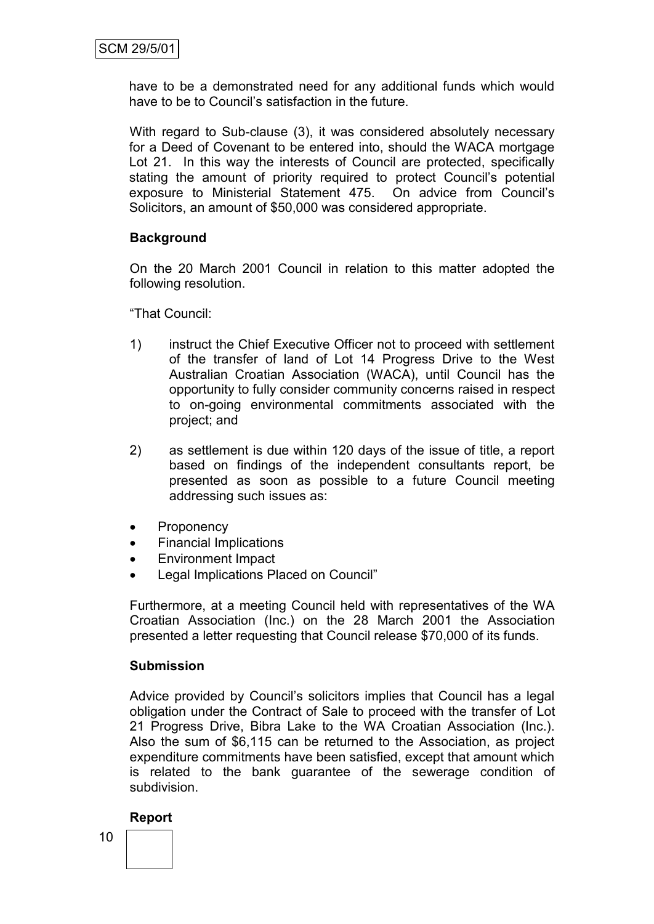have to be a demonstrated need for any additional funds which would have to be to Council's satisfaction in the future.

With regard to Sub-clause (3), it was considered absolutely necessary for a Deed of Covenant to be entered into, should the WACA mortgage Lot 21. In this way the interests of Council are protected, specifically stating the amount of priority required to protect Council's potential exposure to Ministerial Statement 475. On advice from Council's Solicitors, an amount of \$50,000 was considered appropriate.

# **Background**

On the 20 March 2001 Council in relation to this matter adopted the following resolution.

"That Council:

- 1) instruct the Chief Executive Officer not to proceed with settlement of the transfer of land of Lot 14 Progress Drive to the West Australian Croatian Association (WACA), until Council has the opportunity to fully consider community concerns raised in respect to on-going environmental commitments associated with the project; and
- 2) as settlement is due within 120 days of the issue of title, a report based on findings of the independent consultants report, be presented as soon as possible to a future Council meeting addressing such issues as:
- Proponency
- Financial Implications
- Environment Impact
- Legal Implications Placed on Council"

Furthermore, at a meeting Council held with representatives of the WA Croatian Association (Inc.) on the 28 March 2001 the Association presented a letter requesting that Council release \$70,000 of its funds.

### **Submission**

Advice provided by Council's solicitors implies that Council has a legal obligation under the Contract of Sale to proceed with the transfer of Lot 21 Progress Drive, Bibra Lake to the WA Croatian Association (Inc.). Also the sum of \$6,115 can be returned to the Association, as project expenditure commitments have been satisfied, except that amount which is related to the bank guarantee of the sewerage condition of subdivision.

#### **Report**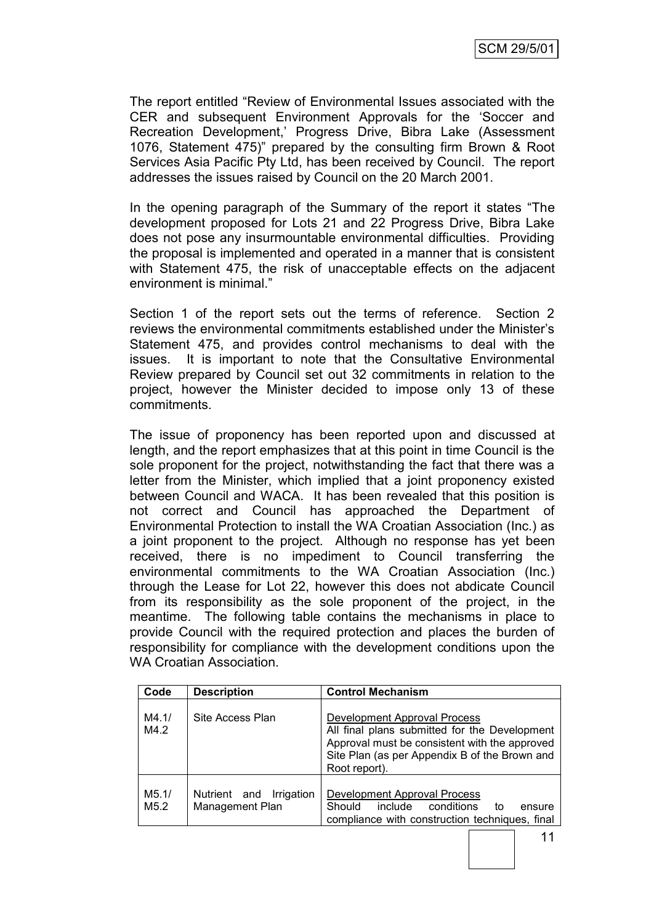The report entitled "Review of Environmental Issues associated with the CER and subsequent Environment Approvals for the 'Soccer and Recreation Development,' Progress Drive, Bibra Lake (Assessment 1076, Statement 475)" prepared by the consulting firm Brown & Root Services Asia Pacific Pty Ltd, has been received by Council. The report addresses the issues raised by Council on the 20 March 2001.

In the opening paragraph of the Summary of the report it states "The development proposed for Lots 21 and 22 Progress Drive, Bibra Lake does not pose any insurmountable environmental difficulties. Providing the proposal is implemented and operated in a manner that is consistent with Statement 475, the risk of unacceptable effects on the adjacent environment is minimal."

Section 1 of the report sets out the terms of reference. Section 2 reviews the environmental commitments established under the Minister's Statement 475, and provides control mechanisms to deal with the issues. It is important to note that the Consultative Environmental Review prepared by Council set out 32 commitments in relation to the project, however the Minister decided to impose only 13 of these commitments.

The issue of proponency has been reported upon and discussed at length, and the report emphasizes that at this point in time Council is the sole proponent for the project, notwithstanding the fact that there was a letter from the Minister, which implied that a joint proponency existed between Council and WACA. It has been revealed that this position is not correct and Council has approached the Department of Environmental Protection to install the WA Croatian Association (Inc.) as a joint proponent to the project. Although no response has yet been received, there is no impediment to Council transferring the environmental commitments to the WA Croatian Association (Inc.) through the Lease for Lot 22, however this does not abdicate Council from its responsibility as the sole proponent of the project, in the meantime. The following table contains the mechanisms in place to provide Council with the required protection and places the burden of responsibility for compliance with the development conditions upon the WA Croatian Association.

| Code          | <b>Description</b>                                   | <b>Control Mechanism</b>                                                                                                                                                                         |  |
|---------------|------------------------------------------------------|--------------------------------------------------------------------------------------------------------------------------------------------------------------------------------------------------|--|
| M4.1/<br>M4.2 | Site Access Plan                                     | Development Approval Process<br>All final plans submitted for the Development<br>Approval must be consistent with the approved<br>Site Plan (as per Appendix B of the Brown and<br>Root report). |  |
| M5.1/<br>M5.2 | Nutrient and<br>Irrigation<br><b>Management Plan</b> | Development Approval Process<br>Should include<br>conditions<br>to to<br>ensure<br>compliance with construction techniques, final                                                                |  |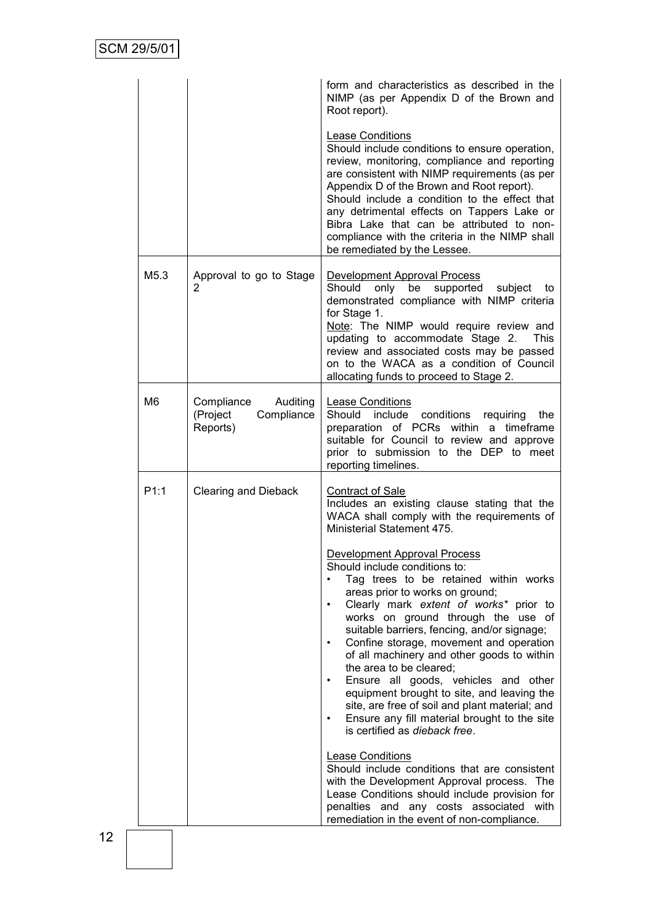|                |                                                           | form and characteristics as described in the<br>NIMP (as per Appendix D of the Brown and<br>Root report).                                                                                                                                                                                                                                                                                                                                                                                                                                                                                                                                                                                                                                                                                                                                                                                                                                                                                                                    |
|----------------|-----------------------------------------------------------|------------------------------------------------------------------------------------------------------------------------------------------------------------------------------------------------------------------------------------------------------------------------------------------------------------------------------------------------------------------------------------------------------------------------------------------------------------------------------------------------------------------------------------------------------------------------------------------------------------------------------------------------------------------------------------------------------------------------------------------------------------------------------------------------------------------------------------------------------------------------------------------------------------------------------------------------------------------------------------------------------------------------------|
|                |                                                           | Lease Conditions<br>Should include conditions to ensure operation,<br>review, monitoring, compliance and reporting<br>are consistent with NIMP requirements (as per<br>Appendix D of the Brown and Root report).<br>Should include a condition to the effect that<br>any detrimental effects on Tappers Lake or<br>Bibra Lake that can be attributed to non-<br>compliance with the criteria in the NIMP shall<br>be remediated by the Lessee.                                                                                                                                                                                                                                                                                                                                                                                                                                                                                                                                                                               |
| M5.3           | Approval to go to Stage<br>2                              | Development Approval Process<br>Should<br>only be supported subject<br>to<br>demonstrated compliance with NIMP criteria<br>for Stage 1.<br>Note: The NIMP would require review and<br>updating to accommodate Stage 2.<br><b>This</b><br>review and associated costs may be passed<br>on to the WACA as a condition of Council<br>allocating funds to proceed to Stage 2.                                                                                                                                                                                                                                                                                                                                                                                                                                                                                                                                                                                                                                                    |
| M <sub>6</sub> | Compliance Auditing<br>Compliance<br>(Project<br>Reports) | <b>Lease Conditions</b><br>Should include conditions requiring<br>the<br>preparation of PCRs within a timeframe<br>suitable for Council to review and approve<br>prior to submission to the DEP to meet<br>reporting timelines.                                                                                                                                                                                                                                                                                                                                                                                                                                                                                                                                                                                                                                                                                                                                                                                              |
| P1:1           | <b>Clearing and Dieback</b>                               | <b>Contract of Sale</b><br>Includes an existing clause stating that the<br>WACA shall comply with the requirements of<br>Ministerial Statement 475.<br>Development Approval Process<br>Should include conditions to:<br>Tag trees to be retained within works<br>areas prior to works on ground;<br>Clearly mark extent of works* prior to<br>$\bullet$<br>works on ground through the use of<br>suitable barriers, fencing, and/or signage;<br>Confine storage, movement and operation<br>$\bullet$<br>of all machinery and other goods to within<br>the area to be cleared;<br>Ensure all goods, vehicles and other<br>equipment brought to site, and leaving the<br>site, are free of soil and plant material; and<br>Ensure any fill material brought to the site<br>is certified as dieback free.<br><b>Lease Conditions</b><br>Should include conditions that are consistent<br>with the Development Approval process. The<br>Lease Conditions should include provision for<br>penalties and any costs associated with |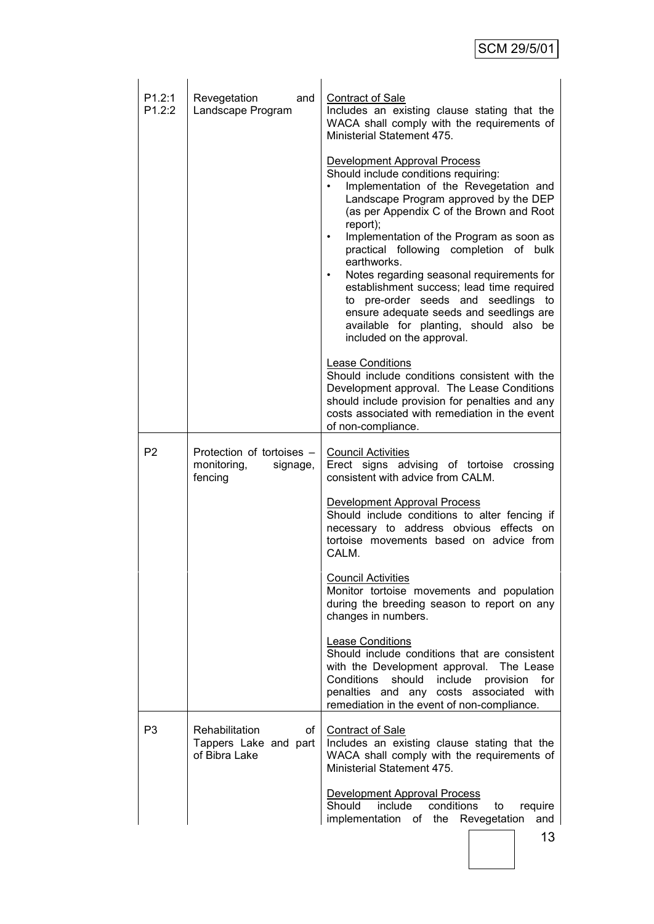| P1.2:1<br>P1.2:2 | Revegetation<br>and<br>Landscape Program                        | <b>Contract of Sale</b><br>Includes an existing clause stating that the<br>WACA shall comply with the requirements of<br>Ministerial Statement 475.                                                                                                                                                                                                                                                                                                                                                                                                                                  |
|------------------|-----------------------------------------------------------------|--------------------------------------------------------------------------------------------------------------------------------------------------------------------------------------------------------------------------------------------------------------------------------------------------------------------------------------------------------------------------------------------------------------------------------------------------------------------------------------------------------------------------------------------------------------------------------------|
|                  |                                                                 | Development Approval Process<br>Should include conditions requiring:<br>Implementation of the Revegetation and<br>Landscape Program approved by the DEP<br>(as per Appendix C of the Brown and Root<br>report);<br>Implementation of the Program as soon as<br>$\bullet$<br>practical following completion of bulk<br>earthworks.<br>Notes regarding seasonal requirements for<br>establishment success; lead time required<br>to pre-order seeds and seedlings to<br>ensure adequate seeds and seedlings are<br>available for planting, should also be<br>included on the approval. |
|                  |                                                                 | <b>Lease Conditions</b><br>Should include conditions consistent with the<br>Development approval. The Lease Conditions<br>should include provision for penalties and any<br>costs associated with remediation in the event<br>of non-compliance.                                                                                                                                                                                                                                                                                                                                     |
| P <sub>2</sub>   | Protection of tortoises -<br>monitoring,<br>signage,<br>fencing | <b>Council Activities</b><br>Erect signs advising of tortoise crossing<br>consistent with advice from CALM.                                                                                                                                                                                                                                                                                                                                                                                                                                                                          |
|                  |                                                                 | Development Approval Process<br>Should include conditions to alter fencing if<br>necessary to address obvious effects on<br>tortoise movements based on advice from<br>CALM.                                                                                                                                                                                                                                                                                                                                                                                                         |
|                  |                                                                 | <b>Council Activities</b><br>Monitor tortoise movements and population<br>during the breeding season to report on any<br>changes in numbers.                                                                                                                                                                                                                                                                                                                                                                                                                                         |
|                  |                                                                 | Lease Conditions<br>Should include conditions that are consistent<br>with the Development approval. The Lease<br>Conditions<br>should<br>include provision<br>for<br>penalties and any costs associated with<br>remediation in the event of non-compliance.                                                                                                                                                                                                                                                                                                                          |
| P <sub>3</sub>   | Rehabilitation<br>of<br>Tappers Lake and part<br>of Bibra Lake  | <b>Contract of Sale</b><br>Includes an existing clause stating that the<br>WACA shall comply with the requirements of<br>Ministerial Statement 475.                                                                                                                                                                                                                                                                                                                                                                                                                                  |
|                  |                                                                 | Development Approval Process<br>conditions<br>Should<br>include<br>to<br>require<br>implementation of the Revegetation<br>and<br>13                                                                                                                                                                                                                                                                                                                                                                                                                                                  |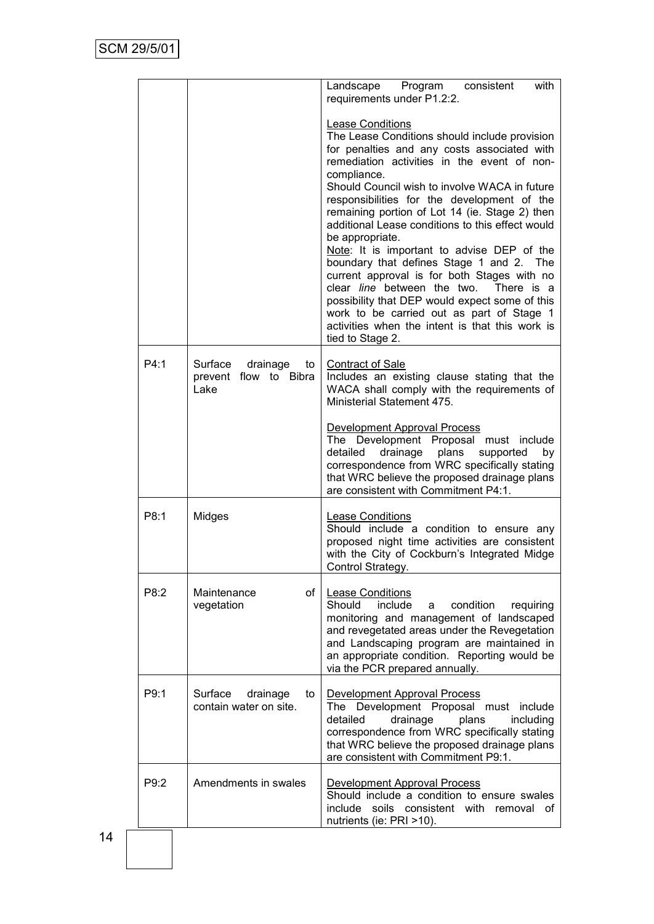|      |                                                            | with<br>Landscape Program consistent<br>requirements under P1.2:2.                                                                                                                                                                                                                                                                                                                                                                                                                                                                                                                                                                                                                                                                                                  |
|------|------------------------------------------------------------|---------------------------------------------------------------------------------------------------------------------------------------------------------------------------------------------------------------------------------------------------------------------------------------------------------------------------------------------------------------------------------------------------------------------------------------------------------------------------------------------------------------------------------------------------------------------------------------------------------------------------------------------------------------------------------------------------------------------------------------------------------------------|
|      |                                                            | Lease Conditions<br>The Lease Conditions should include provision<br>for penalties and any costs associated with<br>remediation activities in the event of non-<br>compliance.<br>Should Council wish to involve WACA in future<br>responsibilities for the development of the<br>remaining portion of Lot 14 (ie. Stage 2) then<br>additional Lease conditions to this effect would<br>be appropriate.<br>Note: It is important to advise DEP of the<br>boundary that defines Stage 1 and 2. The<br>current approval is for both Stages with no<br>clear line between the two.<br>There is a<br>possibility that DEP would expect some of this<br>work to be carried out as part of Stage 1<br>activities when the intent is that this work is<br>tied to Stage 2. |
| P4:1 | Surface<br>drainage<br>to<br>prevent flow to Bibra<br>Lake | <b>Contract of Sale</b><br>Includes an existing clause stating that the<br>WACA shall comply with the requirements of<br>Ministerial Statement 475.                                                                                                                                                                                                                                                                                                                                                                                                                                                                                                                                                                                                                 |
|      |                                                            | Development Approval Process<br>The Development Proposal must include<br>detailed drainage<br>plans supported<br>by<br>correspondence from WRC specifically stating<br>that WRC believe the proposed drainage plans<br>are consistent with Commitment P4:1.                                                                                                                                                                                                                                                                                                                                                                                                                                                                                                         |
| P8:1 | Midges                                                     | <b>Lease Conditions</b><br>Should include a condition to ensure any<br>proposed night time activities are consistent<br>with the City of Cockburn's Integrated Midge<br>Control Strategy.                                                                                                                                                                                                                                                                                                                                                                                                                                                                                                                                                                           |
| P8:2 | of<br>Maintenance<br>vegetation                            | <b>Lease Conditions</b><br>Should<br>include<br>condition<br>requiring<br>a<br>monitoring and management of landscaped<br>and revegetated areas under the Revegetation<br>and Landscaping program are maintained in<br>an appropriate condition. Reporting would be<br>via the PCR prepared annually.                                                                                                                                                                                                                                                                                                                                                                                                                                                               |
| P9:1 | Surface<br>drainage<br>to<br>contain water on site.        | Development Approval Process<br>The Development Proposal must include<br>detailed<br>drainage<br>plans<br>including<br>correspondence from WRC specifically stating<br>that WRC believe the proposed drainage plans<br>are consistent with Commitment P9:1.                                                                                                                                                                                                                                                                                                                                                                                                                                                                                                         |
| P9:2 | Amendments in swales                                       | Development Approval Process<br>Should include a condition to ensure swales<br>soils consistent with removal of<br>include<br>nutrients (ie: PRI >10).                                                                                                                                                                                                                                                                                                                                                                                                                                                                                                                                                                                                              |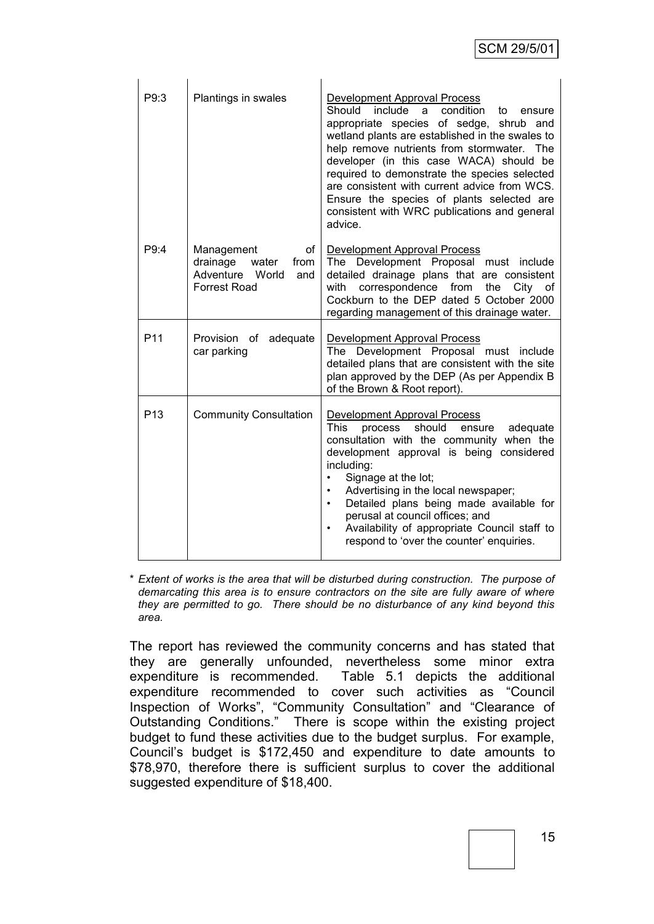| P9:3            | Plantings in swales                                                                              | Development Approval Process<br>Should<br>include a<br>condition<br>to<br>ensure<br>appropriate species of sedge, shrub and<br>wetland plants are established in the swales to<br>help remove nutrients from stormwater. The<br>developer (in this case WACA) should be<br>required to demonstrate the species selected<br>are consistent with current advice from WCS.<br>Ensure the species of plants selected are<br>consistent with WRC publications and general<br>advice.       |
|-----------------|--------------------------------------------------------------------------------------------------|---------------------------------------------------------------------------------------------------------------------------------------------------------------------------------------------------------------------------------------------------------------------------------------------------------------------------------------------------------------------------------------------------------------------------------------------------------------------------------------|
| P9:4            | Management<br>of I<br>drainage<br>water<br>from<br>Adventure World<br>and<br><b>Forrest Road</b> | Development Approval Process<br>The Development Proposal must include<br>detailed drainage plans that are consistent<br>correspondence from<br>with<br>the<br>City of<br>Cockburn to the DEP dated 5 October 2000<br>regarding management of this drainage water.                                                                                                                                                                                                                     |
| P <sub>11</sub> | Provision of adequate<br>car parking                                                             | Development Approval Process<br>The Development Proposal must include<br>detailed plans that are consistent with the site<br>plan approved by the DEP (As per Appendix B<br>of the Brown & Root report).                                                                                                                                                                                                                                                                              |
| P <sub>13</sub> | <b>Community Consultation</b>                                                                    | <b>Development Approval Process</b><br>should<br>This<br>process<br>ensure adequate<br>consultation with the community when the<br>development approval is being considered<br>including:<br>Signage at the lot;<br>$\bullet$<br>Advertising in the local newspaper;<br>$\bullet$<br>Detailed plans being made available for<br>$\bullet$<br>perusal at council offices; and<br>Availability of appropriate Council staff to<br>$\bullet$<br>respond to 'over the counter' enquiries. |

\* *Extent of works is the area that will be disturbed during construction. The purpose of demarcating this area is to ensure contractors on the site are fully aware of where they are permitted to go. There should be no disturbance of any kind beyond this area.*

The report has reviewed the community concerns and has stated that they are generally unfounded, nevertheless some minor extra expenditure is recommended. Table 5.1 depicts the additional expenditure recommended to cover such activities as "Council Inspection of Works", "Community Consultation" and "Clearance of Outstanding Conditions." There is scope within the existing project budget to fund these activities due to the budget surplus. For example, Council's budget is \$172,450 and expenditure to date amounts to \$78,970, therefore there is sufficient surplus to cover the additional suggested expenditure of \$18,400.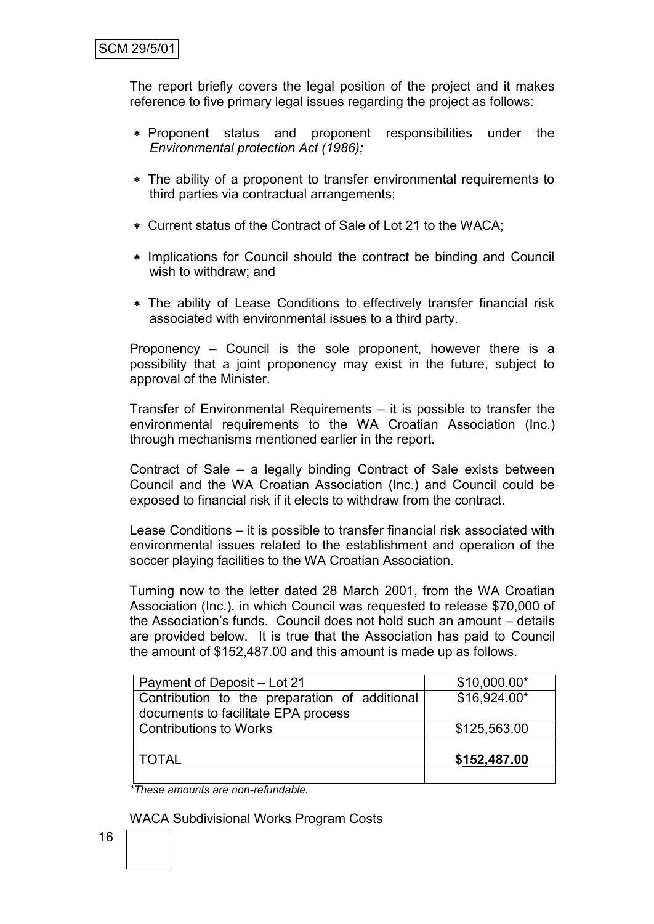The report briefly covers the legal position of the project and it makes reference to five primary legal issues regarding the project as follows:

- Proponent status and proponent responsibilities under the *Environmental protection Act (1986);*
- The ability of a proponent to transfer environmental requirements to third parties via contractual arrangements;
- Current status of the Contract of Sale of Lot 21 to the WACA;
- \* Implications for Council should the contract be binding and Council wish to withdraw; and
- The ability of Lease Conditions to effectively transfer financial risk associated with environmental issues to a third party.

Proponency – Council is the sole proponent, however there is a possibility that a joint proponency may exist in the future, subject to approval of the Minister.

Transfer of Environmental Requirements – it is possible to transfer the environmental requirements to the WA Croatian Association (Inc.) through mechanisms mentioned earlier in the report.

Contract of Sale – a legally binding Contract of Sale exists between Council and the WA Croatian Association (Inc.) and Council could be exposed to financial risk if it elects to withdraw from the contract.

Lease Conditions – it is possible to transfer financial risk associated with environmental issues related to the establishment and operation of the soccer playing facilities to the WA Croatian Association.

Turning now to the letter dated 28 March 2001, from the WA Croatian Association (Inc.), in which Council was requested to release \$70,000 of the Association's funds. Council does not hold such an amount – details are provided below. It is true that the Association has paid to Council the amount of \$152,487.00 and this amount is made up as follows.

| Payment of Deposit - Lot 21                   | \$10,000.00* |
|-----------------------------------------------|--------------|
| Contribution to the preparation of additional | \$16,924.00* |
| documents to facilitate EPA process           |              |
| <b>Contributions to Works</b>                 | \$125,563.00 |
|                                               |              |
| TOTAL                                         | \$152,487.00 |
|                                               |              |

*\*These amounts are non-refundable.*

WACA Subdivisional Works Program Costs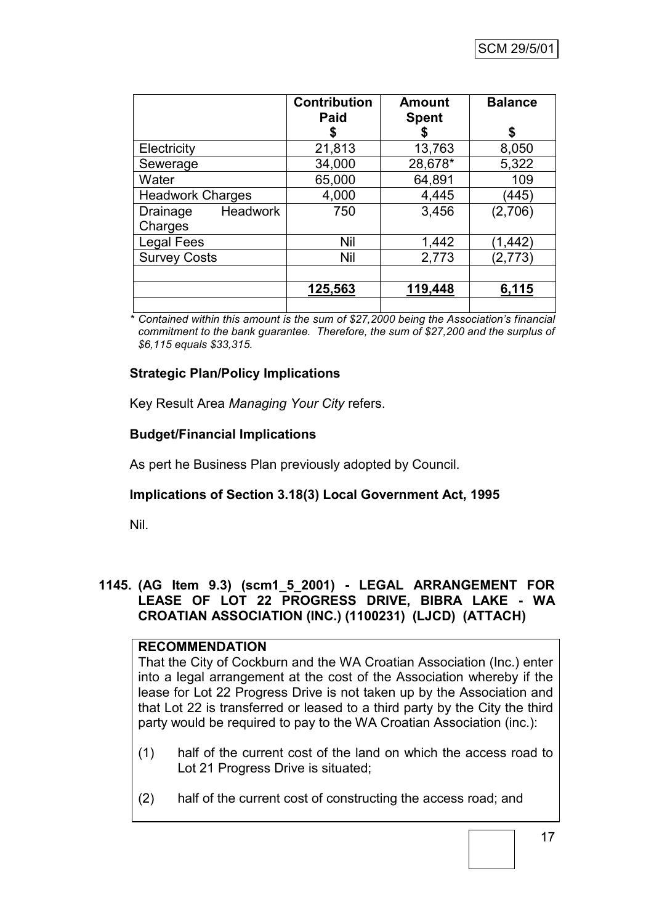|                             | <b>Contribution</b><br>Paid | <b>Amount</b><br><b>Spent</b> | <b>Balance</b> |
|-----------------------------|-----------------------------|-------------------------------|----------------|
|                             |                             | S                             | S              |
| Electricity                 | 21,813                      | 13,763                        | 8,050          |
| Sewerage                    | 34,000                      | 28,678*                       | 5,322          |
| Water                       | 65,000                      | 64,891                        | 109            |
| <b>Headwork Charges</b>     | 4,000                       | 4,445                         | (445)          |
| <b>Headwork</b><br>Drainage | 750                         | 3,456                         | (2,706)        |
| Charges                     |                             |                               |                |
| <b>Legal Fees</b>           | Nil                         | 1,442                         | (1, 442)       |
| <b>Survey Costs</b>         | <b>Nil</b>                  | 2,773                         | (2,773)        |
|                             |                             |                               |                |
|                             | 125,563                     | 119,448                       | 6,115          |
|                             |                             |                               |                |

*\* Contained within this amount is the sum of \$27,2000 being the Association's financial commitment to the bank guarantee. Therefore, the sum of \$27,200 and the surplus of \$6,115 equals \$33,315.*

# **Strategic Plan/Policy Implications**

Key Result Area *Managing Your City* refers.

# **Budget/Financial Implications**

As pert he Business Plan previously adopted by Council.

# **Implications of Section 3.18(3) Local Government Act, 1995**

Nil.

# **1145. (AG Item 9.3) (scm1\_5\_2001) - LEGAL ARRANGEMENT FOR LEASE OF LOT 22 PROGRESS DRIVE, BIBRA LAKE - WA CROATIAN ASSOCIATION (INC.) (1100231) (LJCD) (ATTACH)**

### **RECOMMENDATION**

That the City of Cockburn and the WA Croatian Association (Inc.) enter into a legal arrangement at the cost of the Association whereby if the lease for Lot 22 Progress Drive is not taken up by the Association and that Lot 22 is transferred or leased to a third party by the City the third party would be required to pay to the WA Croatian Association (inc.):

- (1) half of the current cost of the land on which the access road to Lot 21 Progress Drive is situated;
- (2) half of the current cost of constructing the access road; and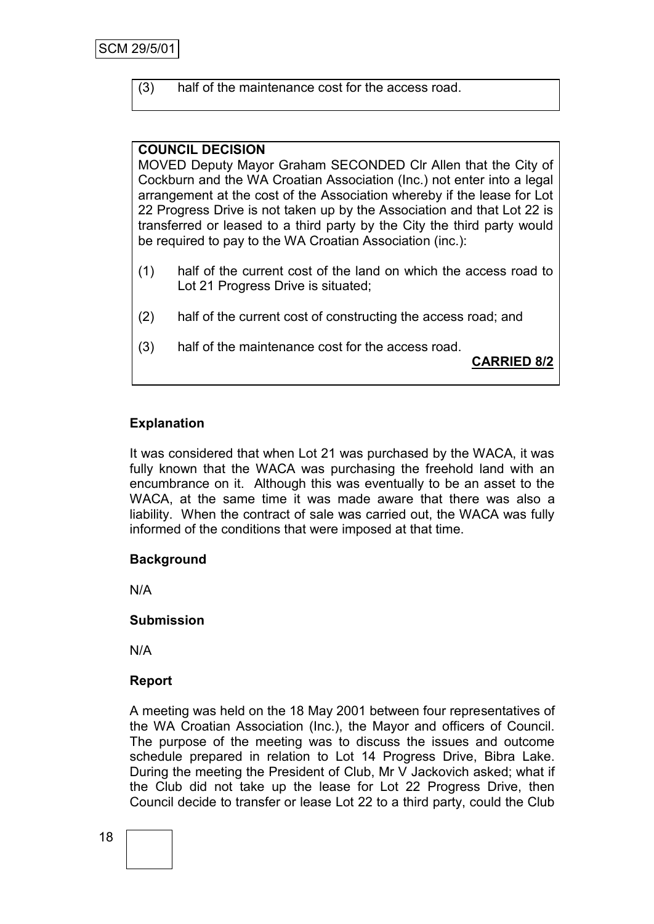(3) half of the maintenance cost for the access road.

# **COUNCIL DECISION**

MOVED Deputy Mayor Graham SECONDED Clr Allen that the City of Cockburn and the WA Croatian Association (Inc.) not enter into a legal arrangement at the cost of the Association whereby if the lease for Lot 22 Progress Drive is not taken up by the Association and that Lot 22 is transferred or leased to a third party by the City the third party would be required to pay to the WA Croatian Association (inc.):

- (1) half of the current cost of the land on which the access road to Lot 21 Progress Drive is situated;
- (2) half of the current cost of constructing the access road; and
- (3) half of the maintenance cost for the access road.

**CARRIED 8/2**

# **Explanation**

It was considered that when Lot 21 was purchased by the WACA, it was fully known that the WACA was purchasing the freehold land with an encumbrance on it. Although this was eventually to be an asset to the WACA, at the same time it was made aware that there was also a liability. When the contract of sale was carried out, the WACA was fully informed of the conditions that were imposed at that time.

### **Background**

N/A

### **Submission**

N/A

# **Report**

A meeting was held on the 18 May 2001 between four representatives of the WA Croatian Association (Inc.), the Mayor and officers of Council. The purpose of the meeting was to discuss the issues and outcome schedule prepared in relation to Lot 14 Progress Drive, Bibra Lake. During the meeting the President of Club, Mr V Jackovich asked; what if the Club did not take up the lease for Lot 22 Progress Drive, then Council decide to transfer or lease Lot 22 to a third party, could the Club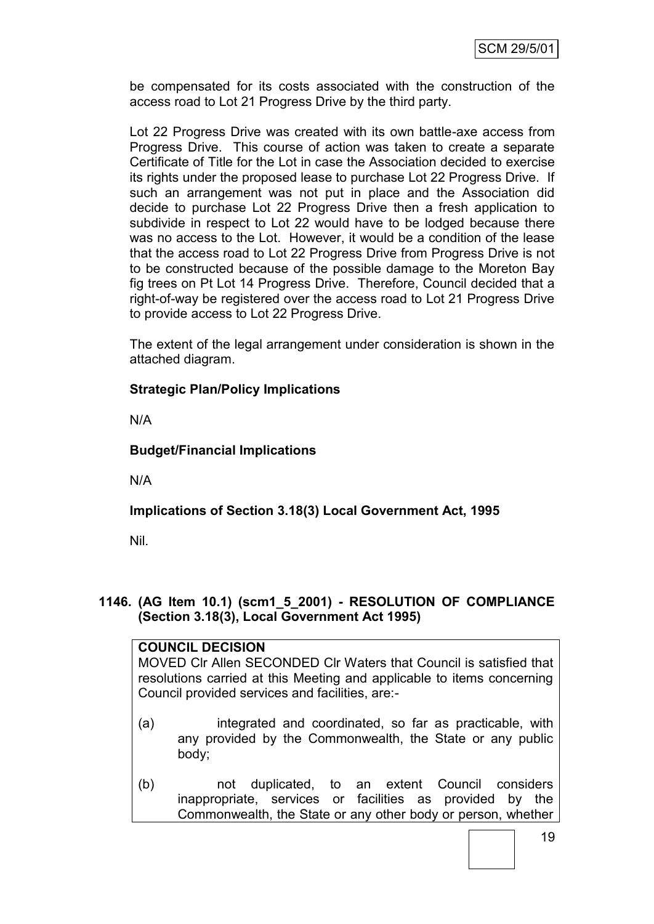be compensated for its costs associated with the construction of the access road to Lot 21 Progress Drive by the third party.

Lot 22 Progress Drive was created with its own battle-axe access from Progress Drive. This course of action was taken to create a separate Certificate of Title for the Lot in case the Association decided to exercise its rights under the proposed lease to purchase Lot 22 Progress Drive. If such an arrangement was not put in place and the Association did decide to purchase Lot 22 Progress Drive then a fresh application to subdivide in respect to Lot 22 would have to be lodged because there was no access to the Lot. However, it would be a condition of the lease that the access road to Lot 22 Progress Drive from Progress Drive is not to be constructed because of the possible damage to the Moreton Bay fig trees on Pt Lot 14 Progress Drive. Therefore, Council decided that a right-of-way be registered over the access road to Lot 21 Progress Drive to provide access to Lot 22 Progress Drive.

The extent of the legal arrangement under consideration is shown in the attached diagram.

## **Strategic Plan/Policy Implications**

N/A

### **Budget/Financial Implications**

N/A

# **Implications of Section 3.18(3) Local Government Act, 1995**

Nil.

### **1146. (AG Item 10.1) (scm1\_5\_2001) - RESOLUTION OF COMPLIANCE (Section 3.18(3), Local Government Act 1995)**

### **COUNCIL DECISION**

MOVED Clr Allen SECONDED Clr Waters that Council is satisfied that resolutions carried at this Meeting and applicable to items concerning Council provided services and facilities, are:-

- (a) integrated and coordinated, so far as practicable, with any provided by the Commonwealth, the State or any public body;
- (b) not duplicated, to an extent Council considers inappropriate, services or facilities as provided by the Commonwealth, the State or any other body or person, whether